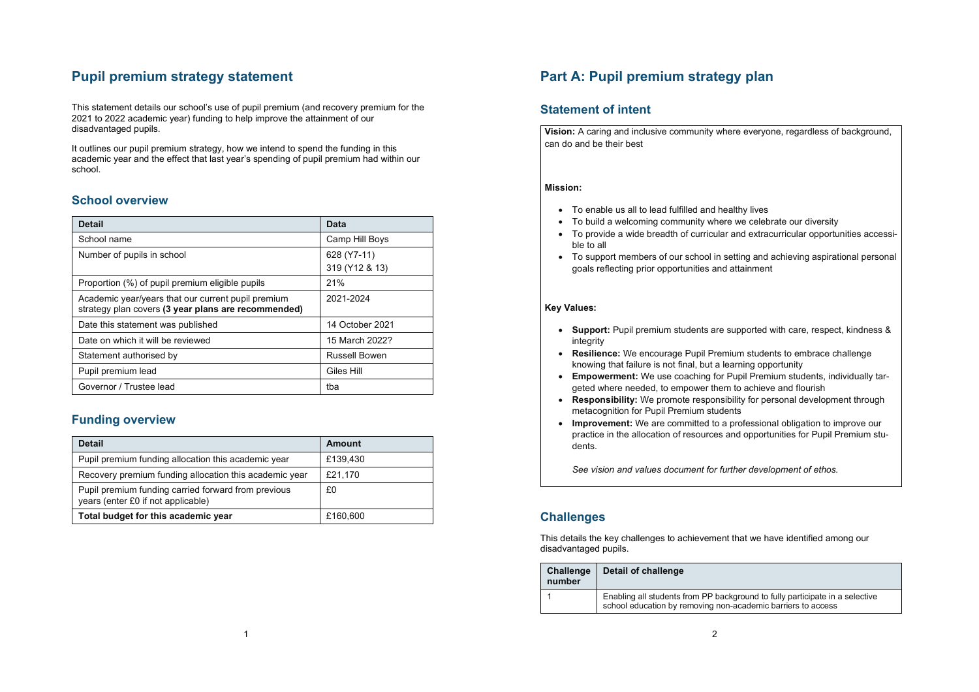## **Pupil premium strategy statement**

This statement details our school's use of pupil premium (and recovery premium for the 2021 to 2022 academic year) funding to help improve the attainment of our disadvantaged pupils.

It outlines our pupil premium strategy, how we intend to spend the funding in this academic year and the effect that last year's spending of pupil premium had within our school.

#### **School overview**

| <b>Detail</b>                                                                                             | Data                 |
|-----------------------------------------------------------------------------------------------------------|----------------------|
| School name                                                                                               | Camp Hill Boys       |
| Number of pupils in school                                                                                | 628 (Y7-11)          |
|                                                                                                           | 319 (Y12 & 13)       |
| Proportion (%) of pupil premium eligible pupils                                                           | 21%                  |
| Academic year/years that our current pupil premium<br>strategy plan covers (3 year plans are recommended) | 2021-2024            |
| Date this statement was published                                                                         | 14 October 2021      |
| Date on which it will be reviewed                                                                         | 15 March 2022?       |
| Statement authorised by                                                                                   | <b>Russell Bowen</b> |
| Pupil premium lead                                                                                        | Giles Hill           |
| Governor / Trustee lead                                                                                   | tba                  |

### **Funding overview**

| <b>Detail</b>                                                                             | Amount   |
|-------------------------------------------------------------------------------------------|----------|
| Pupil premium funding allocation this academic year                                       | £139,430 |
| Recovery premium funding allocation this academic year                                    | £21,170  |
| Pupil premium funding carried forward from previous<br>years (enter £0 if not applicable) | £0       |
| Total budget for this academic year                                                       | £160,600 |

1

# **Part A: Pupil premium strategy plan**

#### **Statement of intent**

**Vision:** A caring and inclusive community where everyone, regardless of background, can do and be their best

#### **Mission:**

- To enable us all to lead fulfilled and healthy lives
- To build a welcoming community where we celebrate our diversity
- To provide a wide breadth of curricular and extracurricular opportunities accessible to all
- To support members of our school in setting and achieving aspirational personal goals reflecting prior opportunities and attainment

#### **Key Values:**

- **Support:** Pupil premium students are supported with care, respect, kindness & integrity
- **Resilience:** We encourage Pupil Premium students to embrace challenge knowing that failure is not final, but a learning opportunity
- **Empowerment:** We use coaching for Pupil Premium students, individually targeted where needed, to empower them to achieve and flourish
- **Responsibility:** We promote responsibility for personal development through metacognition for Pupil Premium students
- **Improvement:** We are committed to a professional obligation to improve our practice in the allocation of resources and opportunities for Pupil Premium students.

*See vision and values document for further development of ethos.*

### **Challenges**

This details the key challenges to achievement that we have identified among our disadvantaged pupils.

| <b>Challenge</b><br>number | Detail of challenge                                                                                                                          |
|----------------------------|----------------------------------------------------------------------------------------------------------------------------------------------|
|                            | Enabling all students from PP background to fully participate in a selective<br>school education by removing non-academic barriers to access |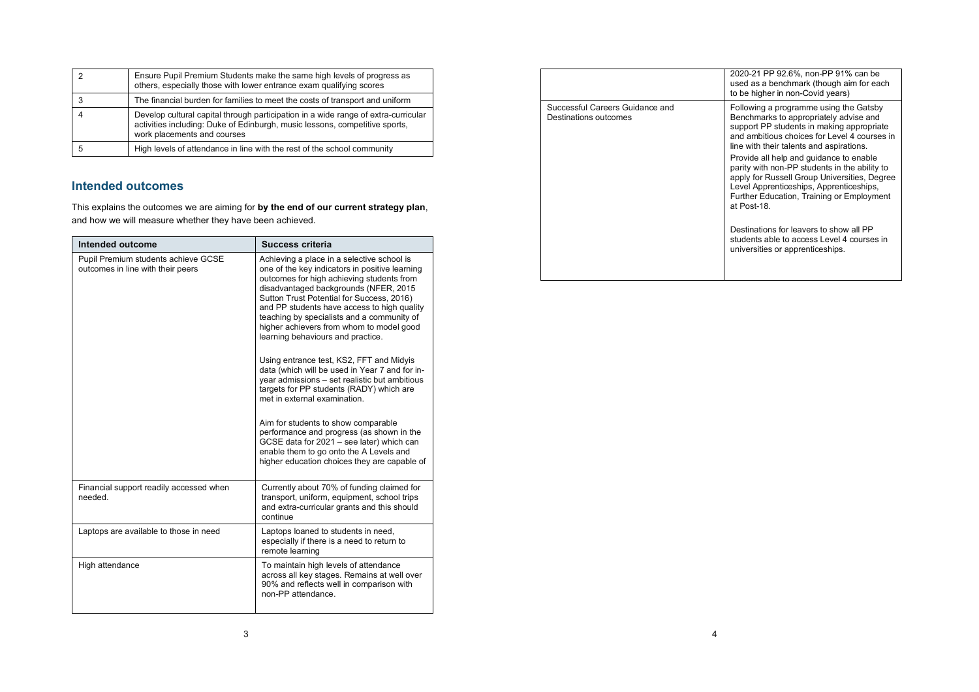| Ensure Pupil Premium Students make the same high levels of progress as<br>others, especially those with lower entrance exam qualifying scores                                                    |
|--------------------------------------------------------------------------------------------------------------------------------------------------------------------------------------------------|
| The financial burden for families to meet the costs of transport and uniform                                                                                                                     |
| Develop cultural capital through participation in a wide range of extra-curricular<br>activities including: Duke of Edinburgh, music lessons, competitive sports,<br>work placements and courses |
| High levels of attendance in line with the rest of the school community                                                                                                                          |

## **Intended outcomes**

This explains the outcomes we are aiming for **by the end of our current strategy plan**, and how we will measure whether they have been achieved.

| Intended outcome                                                         | Success criteria                                                                                                                                                                                                                                                                                                                                                                                                                                                                                                                                                                                                                                                                                                                                                                                                     |
|--------------------------------------------------------------------------|----------------------------------------------------------------------------------------------------------------------------------------------------------------------------------------------------------------------------------------------------------------------------------------------------------------------------------------------------------------------------------------------------------------------------------------------------------------------------------------------------------------------------------------------------------------------------------------------------------------------------------------------------------------------------------------------------------------------------------------------------------------------------------------------------------------------|
| Pupil Premium students achieve GCSE<br>outcomes in line with their peers | Achieving a place in a selective school is<br>one of the key indicators in positive learning<br>outcomes for high achieving students from<br>disadvantaged backgrounds (NFER, 2015<br>Sutton Trust Potential for Success, 2016)<br>and PP students have access to high quality<br>teaching by specialists and a community of<br>higher achievers from whom to model good<br>learning behaviours and practice.<br>Using entrance test, KS2, FFT and Midyis<br>data (which will be used in Year 7 and for in-<br>year admissions - set realistic but ambitious<br>targets for PP students (RADY) which are<br>met in external examination.<br>Aim for students to show comparable<br>performance and progress (as shown in the<br>GCSE data for 2021 - see later) which can<br>enable them to go onto the A Levels and |
|                                                                          | higher education choices they are capable of                                                                                                                                                                                                                                                                                                                                                                                                                                                                                                                                                                                                                                                                                                                                                                         |
| Financial support readily accessed when<br>needed.                       | Currently about 70% of funding claimed for<br>transport, uniform, equipment, school trips<br>and extra-curricular grants and this should<br>continue                                                                                                                                                                                                                                                                                                                                                                                                                                                                                                                                                                                                                                                                 |
| Laptops are available to those in need                                   | Laptops loaned to students in need,<br>especially if there is a need to return to<br>remote learning                                                                                                                                                                                                                                                                                                                                                                                                                                                                                                                                                                                                                                                                                                                 |
| High attendance                                                          | To maintain high levels of attendance<br>across all key stages. Remains at well over<br>90% and reflects well in comparison with<br>non-PP attendance.                                                                                                                                                                                                                                                                                                                                                                                                                                                                                                                                                                                                                                                               |

|                                                          | 2020-21 PP 92.6%, non-PP 91% can be<br>used as a benchmark (though aim for each<br>to be higher in non-Covid years)                                                                                                                             |
|----------------------------------------------------------|-------------------------------------------------------------------------------------------------------------------------------------------------------------------------------------------------------------------------------------------------|
| Successful Careers Guidance and<br>Destinations outcomes | Following a programme using the Gatsby<br>Benchmarks to appropriately advise and<br>support PP students in making appropriate<br>and ambitious choices for Level 4 courses in<br>line with their talents and aspirations.                       |
|                                                          | Provide all help and guidance to enable<br>parity with non-PP students in the ability to<br>apply for Russell Group Universities, Degree<br>Level Apprenticeships, Apprenticeships,<br>Further Education, Training or Employment<br>at Post-18. |
|                                                          | Destinations for leavers to show all PP<br>students able to access Level 4 courses in<br>universities or apprenticeships.                                                                                                                       |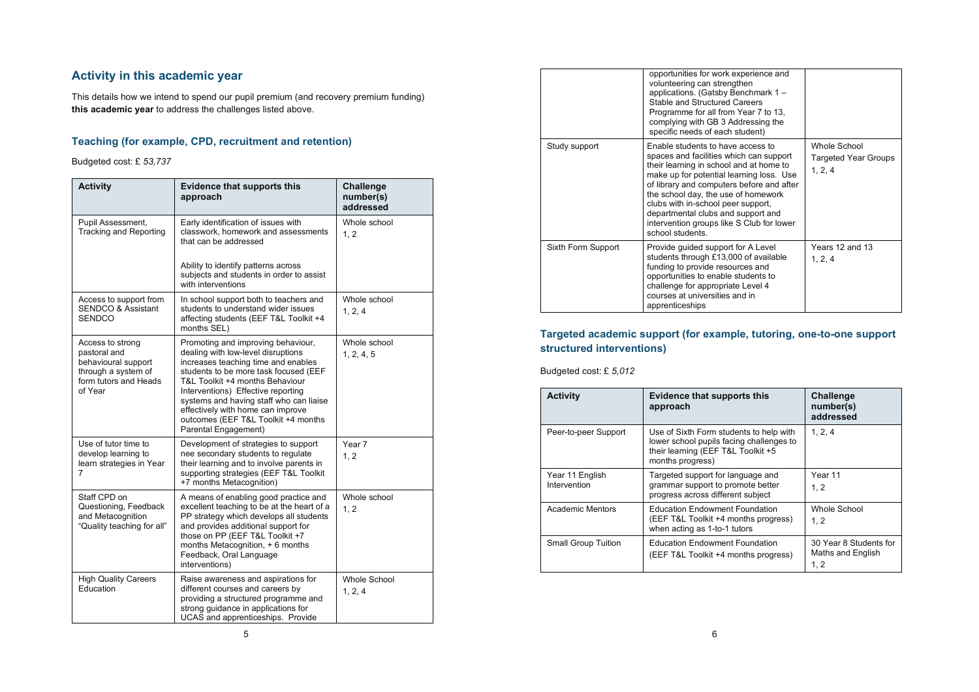### **Activity in this academic year**

This details how we intend to spend our pupil premium (and recovery premium funding) **this academic year** to address the challenges listed above.

### **Teaching (for example, CPD, recruitment and retention)**

Budgeted cost: £ *53,737*

| <b>Activity</b>                                                                                                    | <b>Evidence that supports this</b><br>approach                                                                                                                                                                                                                                                                                                                                   | <b>Challenge</b><br>number(s)<br>addressed |
|--------------------------------------------------------------------------------------------------------------------|----------------------------------------------------------------------------------------------------------------------------------------------------------------------------------------------------------------------------------------------------------------------------------------------------------------------------------------------------------------------------------|--------------------------------------------|
| Pupil Assessment,<br><b>Tracking and Reporting</b>                                                                 | Early identification of issues with<br>classwork, homework and assessments<br>that can be addressed                                                                                                                                                                                                                                                                              | Whole school<br>1.2                        |
|                                                                                                                    | Ability to identify patterns across<br>subjects and students in order to assist<br>with interventions                                                                                                                                                                                                                                                                            |                                            |
| Access to support from<br><b>SENDCO &amp; Assistant</b><br><b>SENDCO</b>                                           | In school support both to teachers and<br>students to understand wider issues<br>affecting students (EEF T&L Toolkit +4<br>months SEL)                                                                                                                                                                                                                                           | Whole school<br>1, 2, 4                    |
| Access to strong<br>pastoral and<br>behavioural support<br>through a system of<br>form tutors and Heads<br>of Year | Promoting and improving behaviour,<br>dealing with low-level disruptions<br>increases teaching time and enables<br>students to be more task focused (EEF<br>T&L Toolkit +4 months Behaviour<br>Interventions) Effective reporting<br>systems and having staff who can liaise<br>effectively with home can improve<br>outcomes (EEF T&L Toolkit +4 months<br>Parental Engagement) | Whole school<br>1, 2, 4, 5                 |
| Use of tutor time to<br>develop learning to<br>learn strategies in Year<br>7                                       | Development of strategies to support<br>nee secondary students to regulate<br>their learning and to involve parents in<br>supporting strategies (EEF T&L Toolkit<br>+7 months Metacognition)                                                                                                                                                                                     | Year 7<br>1.2                              |
| Staff CPD on<br>Questioning, Feedback<br>and Metacognition<br>"Quality teaching for all"                           | A means of enabling good practice and<br>excellent teaching to be at the heart of a<br>PP strategy which develops all students<br>and provides additional support for<br>those on PP (EEF T&L Toolkit +7<br>months Metacognition, + 6 months<br>Feedback, Oral Language<br>interventions)                                                                                        | Whole school<br>1.2                        |
| <b>High Quality Careers</b><br>Education                                                                           | Raise awareness and aspirations for<br>different courses and careers by<br>providing a structured programme and<br>strong guidance in applications for<br>UCAS and apprenticeships. Provide                                                                                                                                                                                      | Whole School<br>1, 2, 4                    |

|                    | opportunities for work experience and<br>volunteering can strengthen<br>applications. (Gatsby Benchmark 1-<br>Stable and Structured Careers<br>Programme for all from Year 7 to 13,<br>complying with GB 3 Addressing the<br>specific needs of each student)                                                                                                                                         |                                                        |
|--------------------|------------------------------------------------------------------------------------------------------------------------------------------------------------------------------------------------------------------------------------------------------------------------------------------------------------------------------------------------------------------------------------------------------|--------------------------------------------------------|
| Study support      | Enable students to have access to<br>spaces and facilities which can support<br>their learning in school and at home to<br>make up for potential learning loss. Use<br>of library and computers before and after<br>the school day, the use of homework<br>clubs with in-school peer support,<br>departmental clubs and support and<br>intervention groups like S Club for lower<br>school students. | Whole School<br><b>Targeted Year Groups</b><br>1, 2, 4 |
| Sixth Form Support | Provide guided support for A Level<br>students through £13,000 of available<br>funding to provide resources and<br>opportunities to enable students to<br>challenge for appropriate Level 4<br>courses at universities and in<br>apprenticeships                                                                                                                                                     | Years 12 and 13<br>1, 2, 4                             |

### **Targeted academic support (for example, tutoring, one-to-one support structured interventions)**

Budgeted cost: £ *5,012*

| <b>Activity</b>                 | <b>Evidence that supports this</b><br>approach                                                                                                | <b>Challenge</b><br>number(s)<br>addressed         |
|---------------------------------|-----------------------------------------------------------------------------------------------------------------------------------------------|----------------------------------------------------|
| Peer-to-peer Support            | Use of Sixth Form students to help with<br>lower school pupils facing challenges to<br>their learning (EEF T&L Toolkit +5<br>months progress) | 1, 2, 4                                            |
| Year 11 English<br>Intervention | Targeted support for language and<br>grammar support to promote better<br>progress across different subject                                   | Year 11<br>1.2                                     |
| Academic Mentors                | <b>Education Endowment Foundation</b><br>(EEF T&L Toolkit +4 months progress)<br>when acting as 1-to-1 tutors                                 | Whole School<br>1, 2                               |
| <b>Small Group Tuition</b>      | <b>Education Endowment Foundation</b><br>(EEF T&L Toolkit +4 months progress)                                                                 | 30 Year 8 Students for<br>Maths and English<br>1.2 |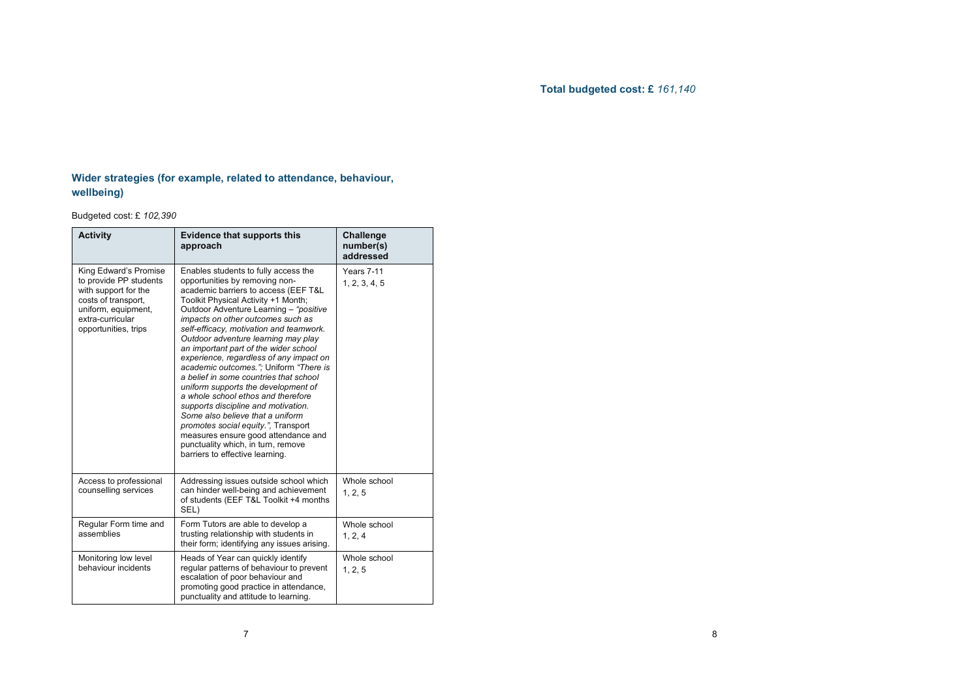### **Total budgeted cost: £** *161,140*

### **Wider strategies (for example, related to attendance, behaviour, wellbeing)**

Budgeted cost: £ *102,390*

| <b>Activity</b>                                                                                                                                                   | <b>Evidence that supports this</b><br>approach                                                                                                                                                                                                                                                                                                                                                                                                                                                                                                                                                                                                                                                                                                                                                                | <b>Challenge</b><br>number(s)<br>addressed |
|-------------------------------------------------------------------------------------------------------------------------------------------------------------------|---------------------------------------------------------------------------------------------------------------------------------------------------------------------------------------------------------------------------------------------------------------------------------------------------------------------------------------------------------------------------------------------------------------------------------------------------------------------------------------------------------------------------------------------------------------------------------------------------------------------------------------------------------------------------------------------------------------------------------------------------------------------------------------------------------------|--------------------------------------------|
| King Edward's Promise<br>to provide PP students<br>with support for the<br>costs of transport,<br>uniform, equipment,<br>extra-curricular<br>opportunities, trips | Enables students to fully access the<br>opportunities by removing non-<br>academic barriers to access (EEF T&L<br>Toolkit Physical Activity +1 Month;<br>Outdoor Adventure Learning - "positive<br>impacts on other outcomes such as<br>self-efficacy, motivation and teamwork.<br>Outdoor adventure learning may play<br>an important part of the wider school<br>experience, regardless of any impact on<br>academic outcomes."; Uniform "There is<br>a belief in some countries that school<br>uniform supports the development of<br>a whole school ethos and therefore<br>supports discipline and motivation.<br>Some also believe that a uniform<br>promotes social equity.", Transport<br>measures ensure good attendance and<br>punctuality which, in turn, remove<br>barriers to effective learning. | Years 7-11<br>1, 2, 3, 4, 5                |
| Access to professional<br>counselling services                                                                                                                    | Addressing issues outside school which<br>can hinder well-being and achievement<br>of students (EEF T&L Toolkit +4 months<br>SEL)                                                                                                                                                                                                                                                                                                                                                                                                                                                                                                                                                                                                                                                                             | Whole school<br>1, 2, 5                    |
| Regular Form time and<br>assemblies                                                                                                                               | Form Tutors are able to develop a<br>trusting relationship with students in<br>their form; identifying any issues arising.                                                                                                                                                                                                                                                                                                                                                                                                                                                                                                                                                                                                                                                                                    | Whole school<br>1, 2, 4                    |
| Monitoring low level<br>behaviour incidents                                                                                                                       | Heads of Year can quickly identify<br>regular patterns of behaviour to prevent<br>escalation of poor behaviour and<br>promoting good practice in attendance,<br>punctuality and attitude to learning.                                                                                                                                                                                                                                                                                                                                                                                                                                                                                                                                                                                                         | Whole school<br>1, 2, 5                    |

7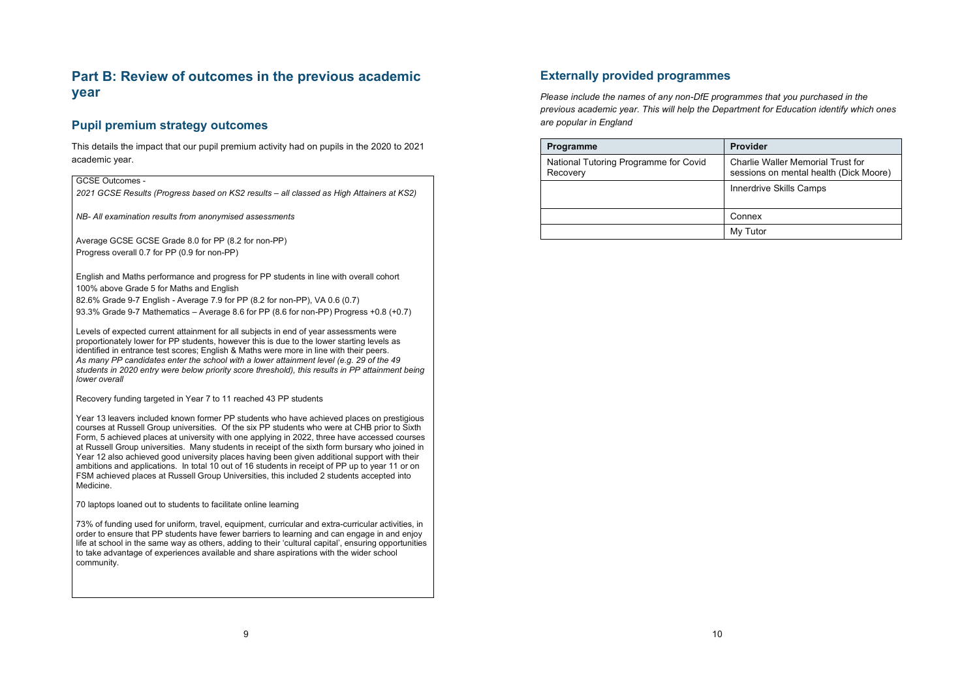# **Part B: Review of outcomes in the previous academic year**

### **Pupil premium strategy outcomes**

This details the impact that our pupil premium activity had on pupils in the 2020 to 2021 academic year.

#### GCSE Outcomes -

*2021 GCSE Results (Progress based on KS2 results – all classed as High Attainers at KS2)*

*NB- All examination results from anonymised assessments*

Average GCSE GCSE Grade 8.0 for PP (8.2 for non-PP) Progress overall 0.7 for PP (0.9 for non-PP)

English and Maths performance and progress for PP students in line with overall cohort 100% above Grade 5 for Maths and English

82.6% Grade 9-7 English - Average 7.9 for PP (8.2 for non-PP), VA 0.6 (0.7)

93.3% Grade 9-7 Mathematics – Average 8.6 for PP (8.6 for non-PP) Progress +0.8 (+0.7)

Levels of expected current attainment for all subjects in end of year assessments were proportionately lower for PP students, however this is due to the lower starting levels as identified in entrance test scores; English & Maths were more in line with their peers. *As many PP candidates enter the school with a lower attainment level (e.g. 29 of the 49 students in 2020 entry were below priority score threshold), this results in PP attainment being lower overall*

Recovery funding targeted in Year 7 to 11 reached 43 PP students

Year 13 leavers included known former PP students who have achieved places on prestigious courses at Russell Group universities. Of the six PP students who were at CHB prior to Sixth Form, 5 achieved places at university with one applying in 2022, three have accessed courses at Russell Group universities. Many students in receipt of the sixth form bursary who joined in Year 12 also achieved good university places having been given additional support with their ambitions and applications. In total 10 out of 16 students in receipt of PP up to year 11 or on FSM achieved places at Russell Group Universities, this included 2 students accepted into Medicine.

70 laptops loaned out to students to facilitate online learning

73% of funding used for uniform, travel, equipment, curricular and extra-curricular activities, in order to ensure that PP students have fewer barriers to learning and can engage in and enjoy life at school in the same way as others, adding to their 'cultural capital', ensuring opportunities to take advantage of experiences available and share aspirations with the wider school community.

#### **Externally provided programmes**

*Please include the names of any non-DfE programmes that you purchased in the previous academic year. This will help the Department for Education identify which ones are popular in England*

| <b>Programme</b>                                  | <b>Provider</b>                                                             |
|---------------------------------------------------|-----------------------------------------------------------------------------|
| National Tutoring Programme for Covid<br>Recovery | Charlie Waller Memorial Trust for<br>sessions on mental health (Dick Moore) |
|                                                   | Innerdrive Skills Camps                                                     |
|                                                   |                                                                             |
|                                                   | Connex                                                                      |
|                                                   | My Tutor                                                                    |